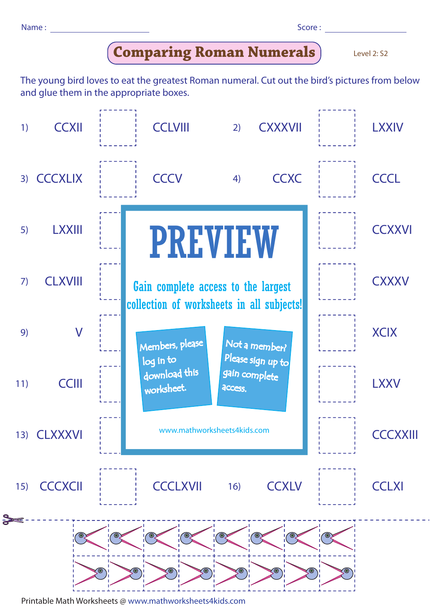| Name: |  |  | Score: |
|-------|--|--|--------|
|-------|--|--|--------|

| ۰. | ۰. | ۰.<br>× |  |
|----|----|---------|--|

## **Comparing Roman Numerals**

Level 2: S2

The young bird loves to eat the greatest Roman numeral. Cut out the bird's pictures from below and glue them in the appropriate boxes.



Printable Math Worksheets @ www.mathworksheets4kids.com